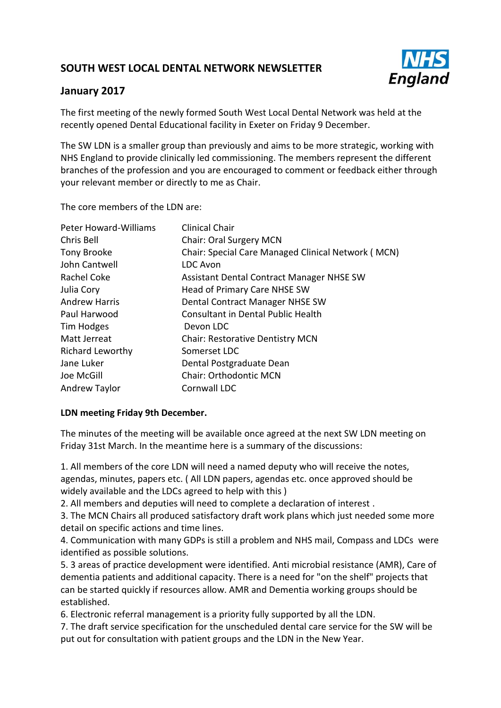# **SOUTH WEST LOCAL DENTAL NETWORK NEWSLETTER**



# **January 2017**

The first meeting of the newly formed South West Local Dental Network was held at the recently opened Dental Educational facility in Exeter on Friday 9 December.

The SW LDN is a smaller group than previously and aims to be more strategic, working with NHS England to provide clinically led commissioning. The members represent the different branches of the profession and you are encouraged to comment or feedback either through your relevant member or directly to me as Chair.

The core members of the LDN are:

| <b>Peter Howard-Williams</b> | <b>Clinical Chair</b>                              |
|------------------------------|----------------------------------------------------|
| Chris Bell                   | <b>Chair: Oral Surgery MCN</b>                     |
| Tony Brooke                  | Chair: Special Care Managed Clinical Network (MCN) |
| John Cantwell                | <b>LDC Avon</b>                                    |
| Rachel Coke                  | Assistant Dental Contract Manager NHSE SW          |
| Julia Cory                   | Head of Primary Care NHSE SW                       |
| <b>Andrew Harris</b>         | Dental Contract Manager NHSE SW                    |
| Paul Harwood                 | Consultant in Dental Public Health                 |
| Tim Hodges                   | Devon LDC                                          |
| Matt Jerreat                 | <b>Chair: Restorative Dentistry MCN</b>            |
| <b>Richard Leworthy</b>      | Somerset LDC                                       |
| Jane Luker                   | Dental Postgraduate Dean                           |
| Joe McGill                   | <b>Chair: Orthodontic MCN</b>                      |
| <b>Andrew Taylor</b>         | Cornwall LDC                                       |

# **LDN meeting Friday 9th December.**

The minutes of the meeting will be available once agreed at the next SW LDN meeting on Friday 31st March. In the meantime here is a summary of the discussions:

1. All members of the core LDN will need a named deputy who will receive the notes, agendas, minutes, papers etc. ( All LDN papers, agendas etc. once approved should be widely available and the LDCs agreed to help with this )

2. All members and deputies will need to complete a declaration of interest .

3. The MCN Chairs all produced satisfactory draft work plans which just needed some more detail on specific actions and time lines.

4. Communication with many GDPs is still a problem and NHS mail, Compass and LDCs were identified as possible solutions.

5. 3 areas of practice development were identified. Anti microbial resistance (AMR), Care of dementia patients and additional capacity. There is a need for "on the shelf" projects that can be started quickly if resources allow. AMR and Dementia working groups should be established.

6. Electronic referral management is a priority fully supported by all the LDN.

7. The draft service specification for the unscheduled dental care service for the SW will be put out for consultation with patient groups and the LDN in the New Year.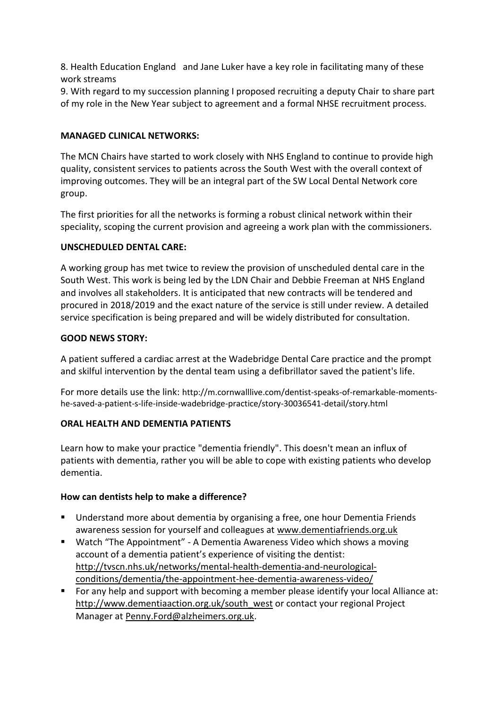8. Health Education England and Jane Luker have a key role in facilitating many of these work streams

9. With regard to my succession planning I proposed recruiting a deputy Chair to share part of my role in the New Year subject to agreement and a formal NHSE recruitment process.

### **MANAGED CLINICAL NETWORKS:**

The MCN Chairs have started to work closely with NHS England to continue to provide high quality, consistent services to patients across the South West with the overall context of improving outcomes. They will be an integral part of the SW Local Dental Network core group.

The first priorities for all the networks is forming a robust clinical network within their speciality, scoping the current provision and agreeing a work plan with the commissioners.

#### **UNSCHEDULED DENTAL CARE:**

A working group has met twice to review the provision of unscheduled dental care in the South West. This work is being led by the LDN Chair and Debbie Freeman at NHS England and involves all stakeholders. It is anticipated that new contracts will be tendered and procured in 2018/2019 and the exact nature of the service is still under review. A detailed service specification is being prepared and will be widely distributed for consultation.

#### **GOOD NEWS STORY:**

A patient suffered a cardiac arrest at the Wadebridge Dental Care practice and the prompt and skilful intervention by the dental team using a defibrillator saved the patient's life.

For more details use the link: http://m.cornwalllive.com/dentist-speaks-of-remarkable-momentshe-saved-a-patient-s-life-inside-wadebridge-practice/story-30036541-detail/story.html

# **ORAL HEALTH AND DEMENTIA PATIENTS**

Learn how to make your practice "dementia friendly". This doesn't mean an influx of patients with dementia, rather you will be able to cope with existing patients who develop dementia.

#### **How can dentists help to make a difference?**

- Understand more about dementia by organising a free, one hour Dementia Friends awareness session for yourself and colleagues at [www.dementiafriends.org.uk](http://www.dementiafriends.org.uk/)
- Watch "The Appointment" A Dementia Awareness Video which shows a moving account of a dementia patient's experience of visiting the dentist: [http://tvscn.nhs.uk/networks/mental-health-dementia-and-neurological](http://tvscn.nhs.uk/networks/mental-health-dementia-and-neurological-conditions/dementia/the-appointment-hee-dementia-awareness-video/)[conditions/dementia/the-appointment-hee-dementia-awareness-video/](http://tvscn.nhs.uk/networks/mental-health-dementia-and-neurological-conditions/dementia/the-appointment-hee-dementia-awareness-video/)
- For any help and support with becoming a member please identify your local Alliance at: [http://www.dementiaaction.org.uk/south\\_west](http://www.dementiaaction.org.uk/south_west) or contact your regional Project Manager at [Penny.Ford@alzheimers.org.uk.](mailto:Penny.Ford@alzheimers.org.uk)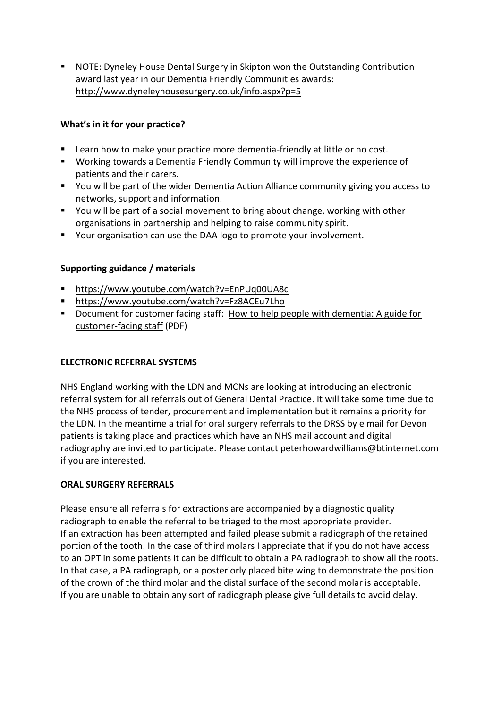NOTE: Dyneley House Dental Surgery in Skipton won the Outstanding Contribution award last year in our Dementia Friendly Communities awards: <http://www.dyneleyhousesurgery.co.uk/info.aspx?p=5>

# **What's in it for your practice?**

- **EXECT** Learn how to make your practice more dementia-friendly at little or no cost.
- Working towards a Dementia Friendly Community will improve the experience of patients and their carers.
- You will be part of the wider Dementia Action Alliance community giving you access to networks, support and information.
- You will be part of a social movement to bring about change, working with other organisations in partnership and helping to raise community spirit.
- Your organisation can use the DAA logo to promote your involvement.

# **Supporting guidance / materials**

- <https://www.youtube.com/watch?v=EnPUq00UA8c>
- <https://www.youtube.com/watch?v=Fz8ACEu7Lho>
- Document for customer facing staff: How to help people with dementia: A guide for [customer-facing staff](https://www.alzheimers.org.uk/site/scripts/download_info.php?fileID=2061) (PDF)

# **ELECTRONIC REFERRAL SYSTEMS**

NHS England working with the LDN and MCNs are looking at introducing an electronic referral system for all referrals out of General Dental Practice. It will take some time due to the NHS process of tender, procurement and implementation but it remains a priority for the LDN. In the meantime a trial for oral surgery referrals to the DRSS by e mail for Devon patients is taking place and practices which have an NHS mail account and digital radiography are invited to participate. Please contact peterhowardwilliams@btinternet.com if you are interested.

# **ORAL SURGERY REFERRALS**

Please ensure all referrals for extractions are accompanied by a diagnostic quality radiograph to enable the referral to be triaged to the most appropriate provider. If an extraction has been attempted and failed please submit a radiograph of the retained portion of the tooth. In the case of third molars I appreciate that if you do not have access to an OPT in some patients it can be difficult to obtain a PA radiograph to show all the roots. In that case, a PA radiograph, or a posteriorly placed bite wing to demonstrate the position of the crown of the third molar and the distal surface of the second molar is acceptable. If you are unable to obtain any sort of radiograph please give full details to avoid delay.